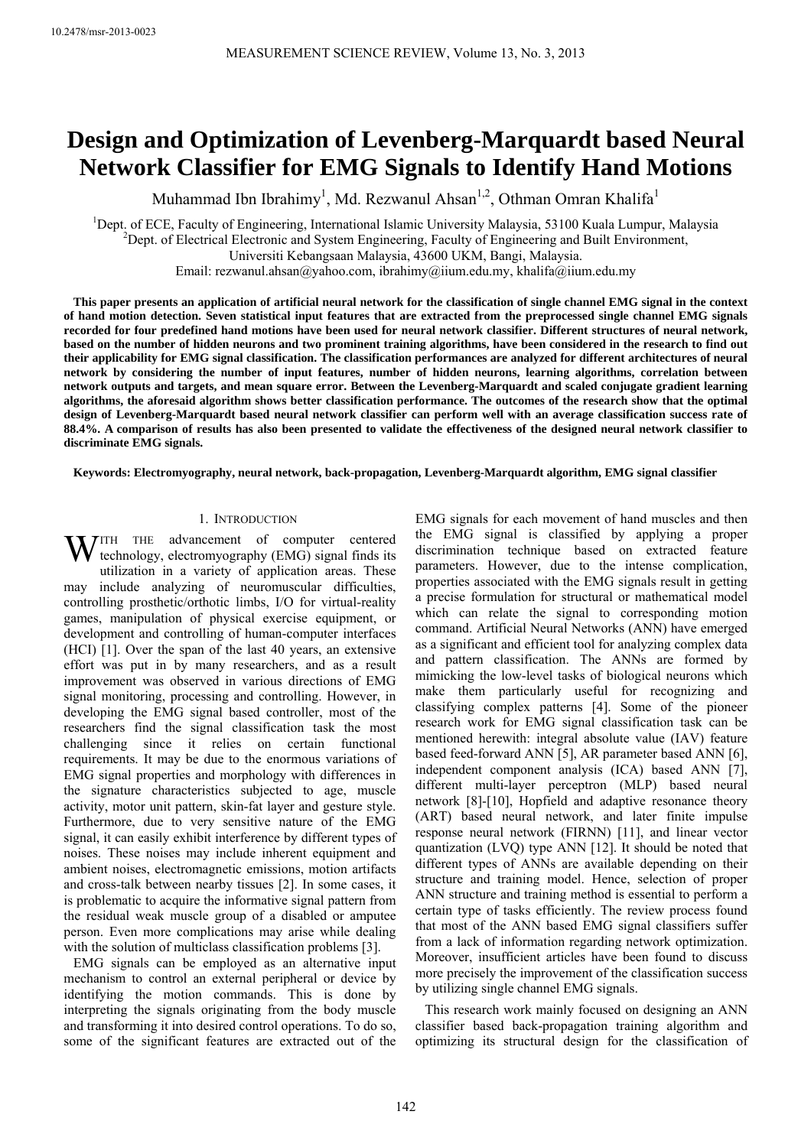# **Design and Optimization of Levenberg-Marquardt based Neural Network Classifier for EMG Signals to Identify Hand Motions**

Muhammad Ibn Ibrahimy<sup>1</sup>, Md. Rezwanul Ahsan<sup>1,2</sup>, Othman Omran Khalifa<sup>1</sup>

<sup>1</sup>Dept. of ECE, Faculty of Engineering, International Islamic University Malaysia, 53100 Kuala Lumpur, Malaysia<br><sup>2</sup>Dept. of Electrical Electronic and System Engineering, Feculty of Engineering and Built Environment <sup>2</sup>Dept. of Electrical Electronic and System Engineering, Faculty of Engineering and Built Environment, Universiti Kebangsaan Malaysia, 43600 UKM, Bangi, Malaysia. Email: rezwanul.ahsan@yahoo.com, ibrahimy@iium.edu.my, khalifa@iium.edu.my

**This paper presents an application of artificial neural network for the classification of single channel EMG signal in the context of hand motion detection. Seven statistical input features that are extracted from the preprocessed single channel EMG signals recorded for four predefined hand motions have been used for neural network classifier. Different structures of neural network, based on the number of hidden neurons and two prominent training algorithms, have been considered in the research to find out their applicability for EMG signal classification. The classification performances are analyzed for different architectures of neural network by considering the number of input features, number of hidden neurons, learning algorithms, correlation between network outputs and targets, and mean square error. Between the Levenberg-Marquardt and scaled conjugate gradient learning algorithms, the aforesaid algorithm shows better classification performance. The outcomes of the research show that the optimal design of Levenberg-Marquardt based neural network classifier can perform well with an average classification success rate of 88.4%. A comparison of results has also been presented to validate the effectiveness of the designed neural network classifier to discriminate EMG signals.** 

**Keywords: Electromyography, neural network, back-propagation, Levenberg-Marquardt algorithm, EMG signal classifier** 

#### 1. INTRODUCTION

ITH THE advancement of computer centered **W** THE advancement of computer centered<br>technology, electromyography (EMG) signal finds its utilization in a variety of application areas. These may include analyzing of neuromuscular difficulties, controlling prosthetic/orthotic limbs, I/O for virtual-reality games, manipulation of physical exercise equipment, or development and controlling of human-computer interfaces (HCI) [1]. Over the span of the last 40 years, an extensive effort was put in by many researchers, and as a result improvement was observed in various directions of EMG signal monitoring, processing and controlling. However, in developing the EMG signal based controller, most of the researchers find the signal classification task the most challenging since it relies on certain functional requirements. It may be due to the enormous variations of EMG signal properties and morphology with differences in the signature characteristics subjected to age, muscle activity, motor unit pattern, skin-fat layer and gesture style. Furthermore, due to very sensitive nature of the EMG signal, it can easily exhibit interference by different types of noises. These noises may include inherent equipment and ambient noises, electromagnetic emissions, motion artifacts and cross-talk between nearby tissues [2]. In some cases, it is problematic to acquire the informative signal pattern from the residual weak muscle group of a disabled or amputee person. Even more complications may arise while dealing with the solution of multiclass classification problems [3].

EMG signals can be employed as an alternative input mechanism to control an external peripheral or device by identifying the motion commands. This is done by interpreting the signals originating from the body muscle and transforming it into desired control operations. To do so, some of the significant features are extracted out of the EMG signals for each movement of hand muscles and then the EMG signal is classified by applying a proper discrimination technique based on extracted feature parameters. However, due to the intense complication, properties associated with the EMG signals result in getting a precise formulation for structural or mathematical model which can relate the signal to corresponding motion command. Artificial Neural Networks (ANN) have emerged as a significant and efficient tool for analyzing complex data and pattern classification. The ANNs are formed by mimicking the low-level tasks of biological neurons which make them particularly useful for recognizing and classifying complex patterns [4]. Some of the pioneer research work for EMG signal classification task can be mentioned herewith: integral absolute value (IAV) feature based feed-forward ANN [5], AR parameter based ANN [6], independent component analysis (ICA) based ANN [7], different multi-layer perceptron (MLP) based neural network [8]-[10], Hopfield and adaptive resonance theory (ART) based neural network, and later finite impulse response neural network (FIRNN) [11], and linear vector quantization (LVQ) type ANN [12]. It should be noted that different types of ANNs are available depending on their structure and training model. Hence, selection of proper ANN structure and training method is essential to perform a certain type of tasks efficiently. The review process found that most of the ANN based EMG signal classifiers suffer from a lack of information regarding network optimization. Moreover, insufficient articles have been found to discuss more precisely the improvement of the classification success by utilizing single channel EMG signals.

This research work mainly focused on designing an ANN classifier based back-propagation training algorithm and optimizing its structural design for the classification of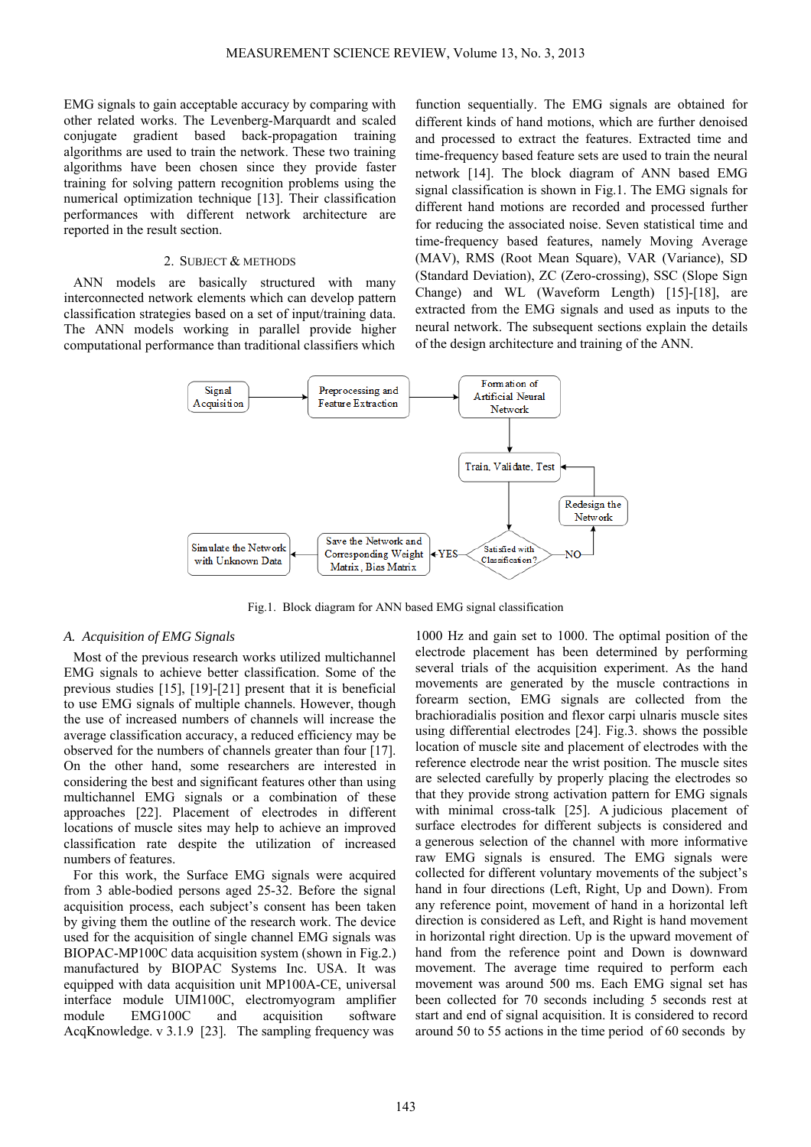EMG signals to gain acceptable accuracy by comparing with other related works. The Levenberg-Marquardt and scaled conjugate gradient based back-propagation training algorithms are used to train the network. These two training algorithms have been chosen since they provide faster training for solving pattern recognition problems using the numerical optimization technique [13]. Their classification performances with different network architecture are reported in the result section.

# 2. SUBJECT & METHODS

ANN models are basically structured with many interconnected network elements which can develop pattern classification strategies based on a set of input/training data. The ANN models working in parallel provide higher computational performance than traditional classifiers which

function sequentially. The EMG signals are obtained for different kinds of hand motions, which are further denoised and processed to extract the features. Extracted time and time-frequency based feature sets are used to train the neural network [14]. The block diagram of ANN based EMG signal classification is shown in Fig.1. The EMG signals for different hand motions are recorded and processed further for reducing the associated noise. Seven statistical time and time-frequency based features, namely Moving Average (MAV), RMS (Root Mean Square), VAR (Variance), SD (Standard Deviation), ZC (Zero-crossing), SSC (Slope Sign Change) and WL (Waveform Length) [15]-[18], are extracted from the EMG signals and used as inputs to the neural network. The subsequent sections explain the details of the design architecture and training of the ANN.



Fig.1. Block diagram for ANN based EMG signal classification

# *A. Acquisition of EMG Signals*

Most of the previous research works utilized multichannel EMG signals to achieve better classification. Some of the previous studies [15], [19]-[21] present that it is beneficial to use EMG signals of multiple channels. However, though the use of increased numbers of channels will increase the average classification accuracy, a reduced efficiency may be observed for the numbers of channels greater than four [17]. On the other hand, some researchers are interested in considering the best and significant features other than using multichannel EMG signals or a combination of these approaches [22]. Placement of electrodes in different locations of muscle sites may help to achieve an improved classification rate despite the utilization of increased numbers of features.

For this work, the Surface EMG signals were acquired from 3 able-bodied persons aged 25-32. Before the signal acquisition process, each subject's consent has been taken by giving them the outline of the research work. The device used for the acquisition of single channel EMG signals was BIOPAC-MP100C data acquisition system (shown in Fig.2.) manufactured by BIOPAC Systems Inc. USA. It was equipped with data acquisition unit MP100A-CE, universal interface module UIM100C, electromyogram amplifier module EMG100C and acquisition software AcqKnowledge. v 3.1.9 [23]. The sampling frequency was

1000 Hz and gain set to 1000. The optimal position of the electrode placement has been determined by performing several trials of the acquisition experiment. As the hand movements are generated by the muscle contractions in forearm section, EMG signals are collected from the brachioradialis position and flexor carpi ulnaris muscle sites using differential electrodes [24]. Fig.3. shows the possible location of muscle site and placement of electrodes with the reference electrode near the wrist position. The muscle sites are selected carefully by properly placing the electrodes so that they provide strong activation pattern for EMG signals with minimal cross-talk [25]. A judicious placement of surface electrodes for different subjects is considered and a generous selection of the channel with more informative raw EMG signals is ensured. The EMG signals were collected for different voluntary movements of the subject's hand in four directions (Left, Right, Up and Down). From any reference point, movement of hand in a horizontal left direction is considered as Left, and Right is hand movement in horizontal right direction. Up is the upward movement of hand from the reference point and Down is downward movement. The average time required to perform each movement was around 500 ms. Each EMG signal set has been collected for 70 seconds including 5 seconds rest at start and end of signal acquisition. It is considered to record around 50 to 55 actions in the time period of 60 seconds by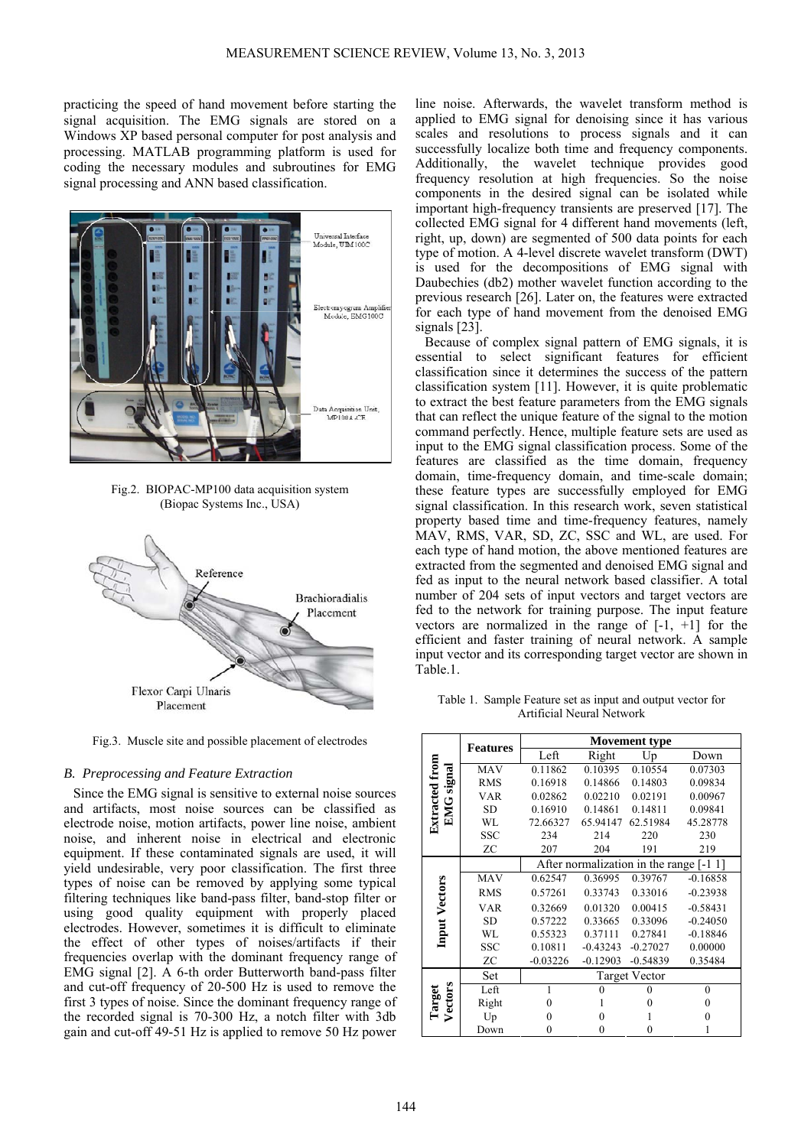practicing the speed of hand movement before starting the signal acquisition. The EMG signals are stored on a Windows XP based personal computer for post analysis and processing. MATLAB programming platform is used for coding the necessary modules and subroutines for EMG signal processing and ANN based classification.



Fig.2. BIOPAC-MP100 data acquisition system (Biopac Systems Inc., USA)



Fig.3. Muscle site and possible placement of electrodes

# *B. Preprocessing and Feature Extraction*

Since the EMG signal is sensitive to external noise sources and artifacts, most noise sources can be classified as electrode noise, motion artifacts, power line noise, ambient noise, and inherent noise in electrical and electronic equipment. If these contaminated signals are used, it will yield undesirable, very poor classification. The first three types of noise can be removed by applying some typical filtering techniques like band-pass filter, band-stop filter or using good quality equipment with properly placed electrodes. However, sometimes it is difficult to eliminate the effect of other types of noises/artifacts if their frequencies overlap with the dominant frequency range of EMG signal [2]. A 6-th order Butterworth band-pass filter and cut-off frequency of 20-500 Hz is used to remove the first 3 types of noise. Since the dominant frequency range of the recorded signal is 70-300 Hz, a notch filter with 3db gain and cut-off 49-51 Hz is applied to remove 50 Hz power

line noise. Afterwards, the wavelet transform method is applied to EMG signal for denoising since it has various scales and resolutions to process signals and it can successfully localize both time and frequency components. Additionally, the wavelet technique provides good frequency resolution at high frequencies. So the noise components in the desired signal can be isolated while important high-frequency transients are preserved [17]. The collected EMG signal for 4 different hand movements (left, right, up, down) are segmented of 500 data points for each type of motion. A 4-level discrete wavelet transform (DWT) is used for the decompositions of EMG signal with Daubechies (db2) mother wavelet function according to the previous research [26]. Later on, the features were extracted for each type of hand movement from the denoised EMG signals [23].

Because of complex signal pattern of EMG signals, it is essential to select significant features for efficient classification since it determines the success of the pattern classification system [11]. However, it is quite problematic to extract the best feature parameters from the EMG signals that can reflect the unique feature of the signal to the motion command perfectly. Hence, multiple feature sets are used as input to the EMG signal classification process. Some of the features are classified as the time domain, frequency domain, time-frequency domain, and time-scale domain; these feature types are successfully employed for EMG signal classification. In this research work, seven statistical property based time and time-frequency features, namely MAV, RMS, VAR, SD, ZC, SSC and WL, are used. For each type of hand motion, the above mentioned features are extracted from the segmented and denoised EMG signal and fed as input to the neural network based classifier. A total number of 204 sets of input vectors and target vectors are fed to the network for training purpose. The input feature vectors are normalized in the range of  $[-1, +1]$  for the efficient and faster training of neural network. A sample input vector and its corresponding target vector are shown in Table.1.

Table 1. Sample Feature set as input and output vector for Artificial Neural Network

|                                 | <b>Features</b> | <b>Movement type</b> |            |                                         |              |  |  |
|---------------------------------|-----------------|----------------------|------------|-----------------------------------------|--------------|--|--|
|                                 |                 | Left                 | Right      | Up                                      | Down         |  |  |
| <b>Extracted from</b><br>signal | <b>MAV</b>      | 0.11862              | 0.10395    | 0.10554                                 | 0.07303      |  |  |
|                                 | <b>RMS</b>      | 0.16918              | 0.14866    | 0.14803                                 | 0.09834      |  |  |
|                                 | <b>VAR</b>      | 0.02862              | 0.02210    | 0.02191                                 | 0.00967      |  |  |
| <b>EMG</b>                      | SD              | 0.16910              | 0.14861    | 0.14811                                 | 0.09841      |  |  |
|                                 | WL              | 72.66327             | 65.94147   | 62.51984                                | 45.28778     |  |  |
|                                 | <b>SSC</b>      | 234                  | 214        | 220                                     | 230          |  |  |
|                                 | ZС              | 207                  | 204        | 191                                     | 219          |  |  |
|                                 |                 |                      |            | After normalization in the range [-1 1] |              |  |  |
|                                 | <b>MAV</b>      | 0.62547              | 0.36995    | 0.39767                                 | $-0.16858$   |  |  |
| <b>Input Vectors</b>            | <b>RMS</b>      | 0.57261              | 0.33743    | 0.33016                                 | $-0.23938$   |  |  |
|                                 | <b>VAR</b>      | 0.32669              | 0.01320    | 0.00415                                 | $-0.58431$   |  |  |
|                                 | <b>SD</b>       | 0.57222              | 0.33665    | 0.33096                                 | $-0.24050$   |  |  |
|                                 | WL              | 0.55323              | 0.37111    | 0.27841                                 | $-0.18846$   |  |  |
|                                 | <b>SSC</b>      | 0.10811              | $-0.43243$ | $-0.27027$                              | 0.00000      |  |  |
|                                 | ZС              | $-0.03226$           | $-0.12903$ | $-0.54839$                              | 0.35484      |  |  |
|                                 | Set             |                      |            | <b>Target Vector</b>                    |              |  |  |
| Vectors                         | Left            | 1                    | 0          | 0                                       | $\mathbf{0}$ |  |  |
| Target                          | Right           | $\theta$             | 1          | $\Omega$                                | $\theta$     |  |  |
|                                 | Up              | 0                    | $\theta$   |                                         | 0            |  |  |
|                                 | Down            | 0                    | 0          | 0                                       |              |  |  |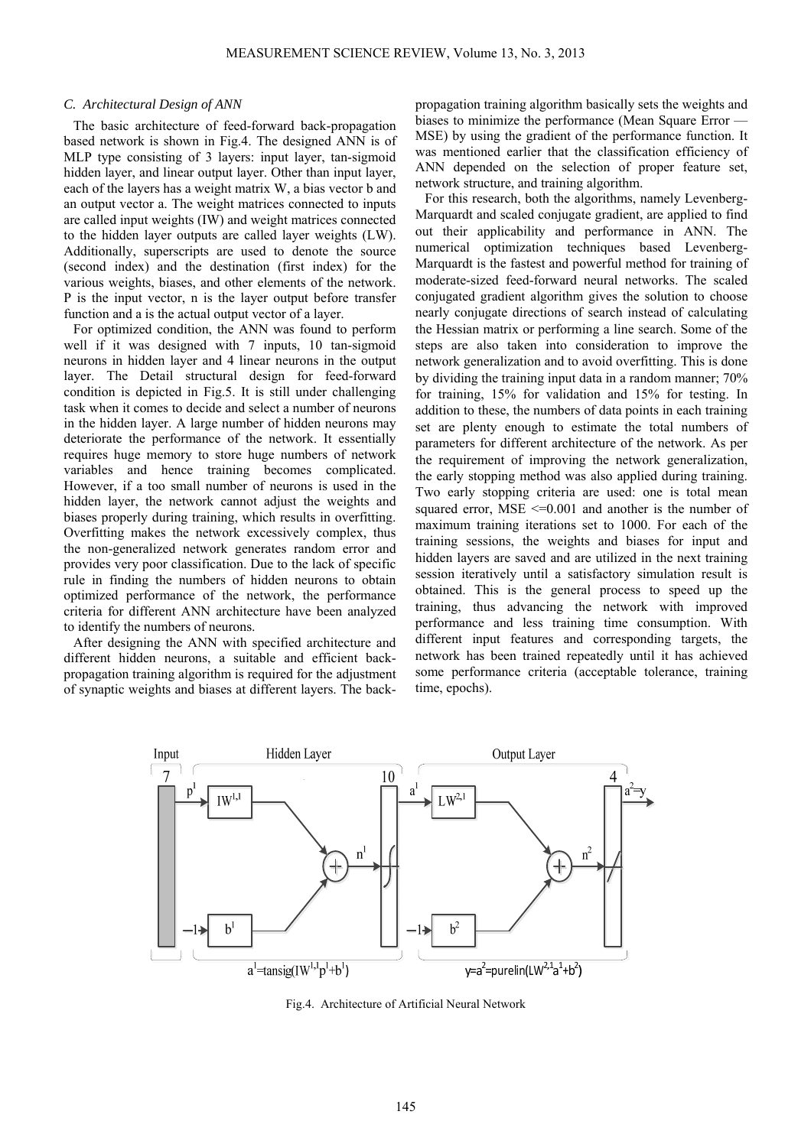#### *C. Architectural Design of ANN*

The basic architecture of feed-forward back-propagation based network is shown in Fig.4. The designed ANN is of MLP type consisting of 3 layers: input layer, tan-sigmoid hidden layer, and linear output layer. Other than input layer, each of the layers has a weight matrix W, a bias vector b and an output vector a. The weight matrices connected to inputs are called input weights (IW) and weight matrices connected to the hidden layer outputs are called layer weights (LW). Additionally, superscripts are used to denote the source (second index) and the destination (first index) for the various weights, biases, and other elements of the network. P is the input vector, n is the layer output before transfer function and a is the actual output vector of a layer.

For optimized condition, the ANN was found to perform well if it was designed with 7 inputs, 10 tan-sigmoid neurons in hidden layer and 4 linear neurons in the output layer. The Detail structural design for feed-forward condition is depicted in Fig.5. It is still under challenging task when it comes to decide and select a number of neurons in the hidden layer. A large number of hidden neurons may deteriorate the performance of the network. It essentially requires huge memory to store huge numbers of network variables and hence training becomes complicated. However, if a too small number of neurons is used in the hidden layer, the network cannot adjust the weights and biases properly during training, which results in overfitting. Overfitting makes the network excessively complex, thus the non-generalized network generates random error and provides very poor classification. Due to the lack of specific rule in finding the numbers of hidden neurons to obtain optimized performance of the network, the performance criteria for different ANN architecture have been analyzed to identify the numbers of neurons.

After designing the ANN with specified architecture and different hidden neurons, a suitable and efficient backpropagation training algorithm is required for the adjustment of synaptic weights and biases at different layers. The backpropagation training algorithm basically sets the weights and biases to minimize the performance (Mean Square Error -MSE) by using the gradient of the performance function. It was mentioned earlier that the classification efficiency of ANN depended on the selection of proper feature set, network structure, and training algorithm.

For this research, both the algorithms, namely Levenberg-Marquardt and scaled conjugate gradient, are applied to find out their applicability and performance in ANN. The numerical optimization techniques based Levenberg-Marquardt is the fastest and powerful method for training of moderate-sized feed-forward neural networks. The scaled conjugated gradient algorithm gives the solution to choose nearly conjugate directions of search instead of calculating the Hessian matrix or performing a line search. Some of the steps are also taken into consideration to improve the network generalization and to avoid overfitting. This is done by dividing the training input data in a random manner; 70% for training, 15% for validation and 15% for testing. In addition to these, the numbers of data points in each training set are plenty enough to estimate the total numbers of parameters for different architecture of the network. As per the requirement of improving the network generalization, the early stopping method was also applied during training. Two early stopping criteria are used: one is total mean squared error,  $MSE \leq 0.001$  and another is the number of maximum training iterations set to 1000. For each of the training sessions, the weights and biases for input and hidden layers are saved and are utilized in the next training session iteratively until a satisfactory simulation result is obtained. This is the general process to speed up the training, thus advancing the network with improved performance and less training time consumption. With different input features and corresponding targets, the network has been trained repeatedly until it has achieved some performance criteria (acceptable tolerance, training time, epochs).



Fig.4. Architecture of Artificial Neural Network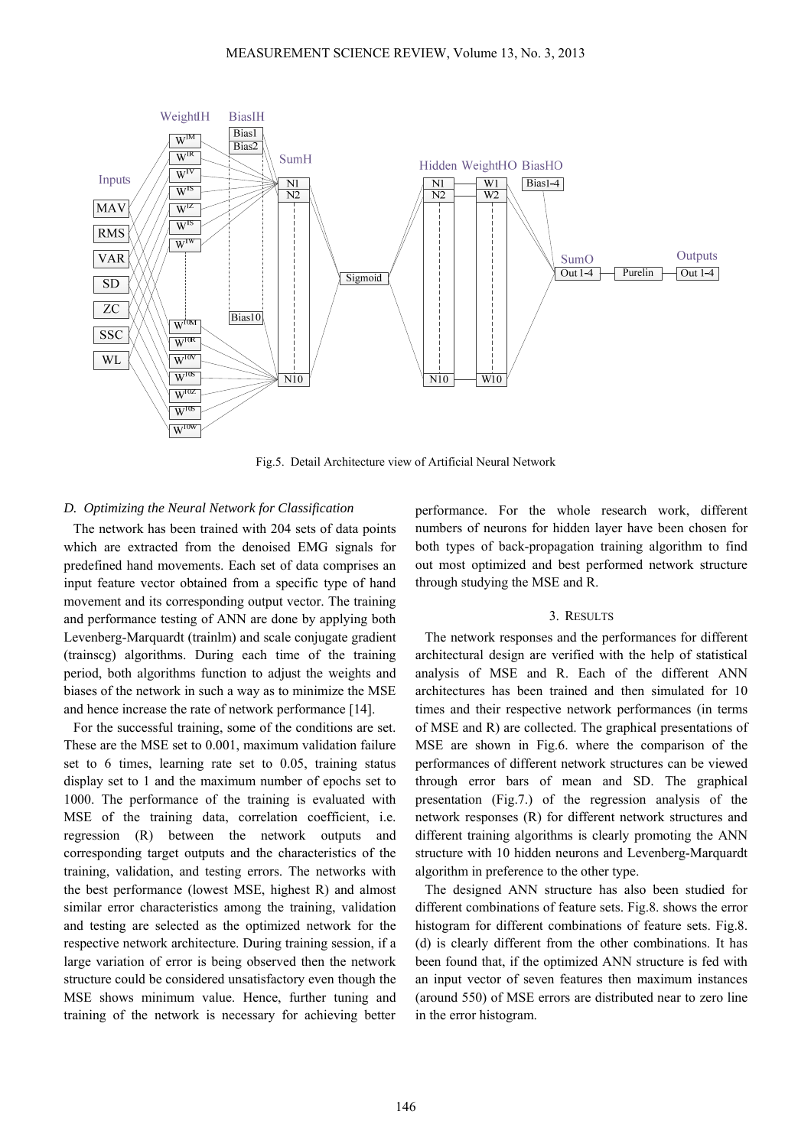

Fig.5. Detail Architecture view of Artificial Neural Network

# *D. Optimizing the Neural Network for Classification*

The network has been trained with 204 sets of data points which are extracted from the denoised EMG signals for predefined hand movements. Each set of data comprises an input feature vector obtained from a specific type of hand movement and its corresponding output vector. The training and performance testing of ANN are done by applying both Levenberg-Marquardt (trainlm) and scale conjugate gradient (trainscg) algorithms. During each time of the training period, both algorithms function to adjust the weights and biases of the network in such a way as to minimize the MSE and hence increase the rate of network performance [14].

For the successful training, some of the conditions are set. These are the MSE set to 0.001, maximum validation failure set to 6 times, learning rate set to 0.05, training status display set to 1 and the maximum number of epochs set to 1000. The performance of the training is evaluated with MSE of the training data, correlation coefficient, i.e. regression (R) between the network outputs and corresponding target outputs and the characteristics of the training, validation, and testing errors. The networks with the best performance (lowest MSE, highest R) and almost similar error characteristics among the training, validation and testing are selected as the optimized network for the respective network architecture. During training session, if a large variation of error is being observed then the network structure could be considered unsatisfactory even though the MSE shows minimum value. Hence, further tuning and training of the network is necessary for achieving better performance. For the whole research work, different numbers of neurons for hidden layer have been chosen for both types of back-propagation training algorithm to find out most optimized and best performed network structure through studying the MSE and R.

# 3. RESULTS

The network responses and the performances for different architectural design are verified with the help of statistical analysis of MSE and R. Each of the different ANN architectures has been trained and then simulated for 10 times and their respective network performances (in terms of MSE and R) are collected. The graphical presentations of MSE are shown in Fig.6. where the comparison of the performances of different network structures can be viewed through error bars of mean and SD. The graphical presentation (Fig.7.) of the regression analysis of the network responses (R) for different network structures and different training algorithms is clearly promoting the ANN structure with 10 hidden neurons and Levenberg-Marquardt algorithm in preference to the other type.

The designed ANN structure has also been studied for different combinations of feature sets. Fig.8. shows the error histogram for different combinations of feature sets. Fig.8. (d) is clearly different from the other combinations. It has been found that, if the optimized ANN structure is fed with an input vector of seven features then maximum instances (around 550) of MSE errors are distributed near to zero line in the error histogram.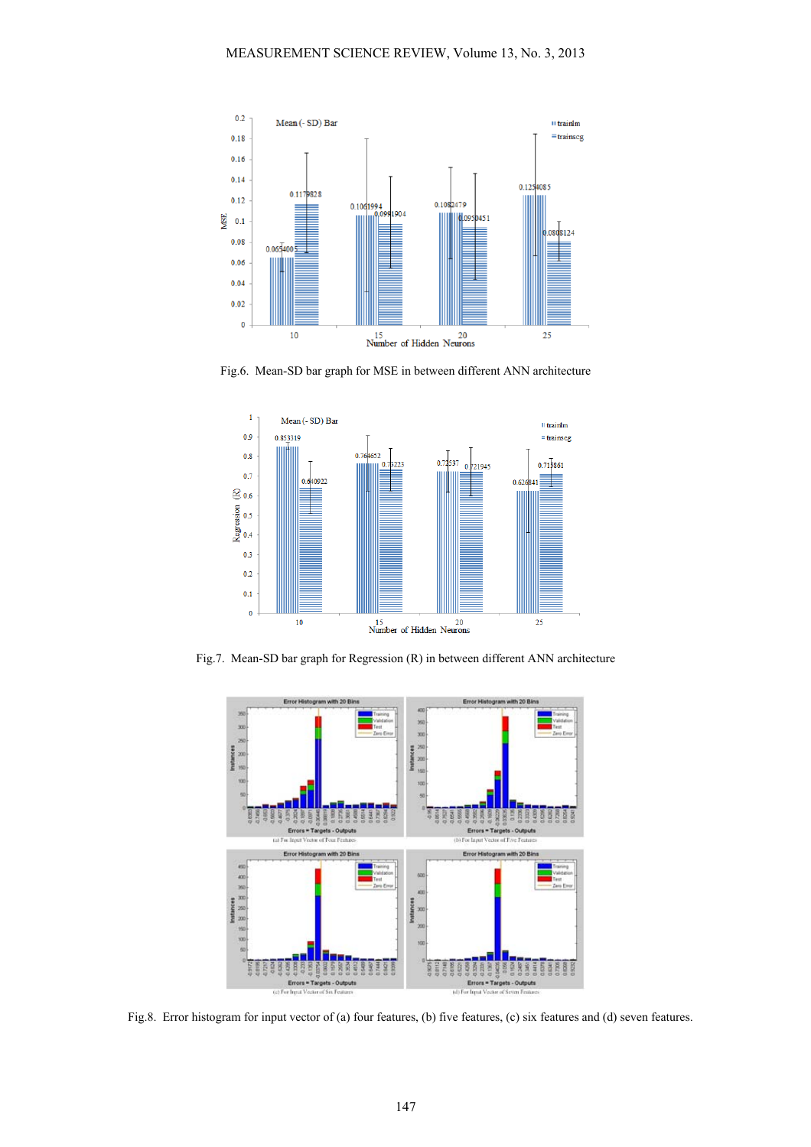

Fig.6. Mean-SD bar graph for MSE in between different ANN architecture



Fig.7. Mean-SD bar graph for Regression (R) in between different ANN architecture



Fig.8. Error histogram for input vector of (a) four features, (b) five features, (c) six features and (d) seven features.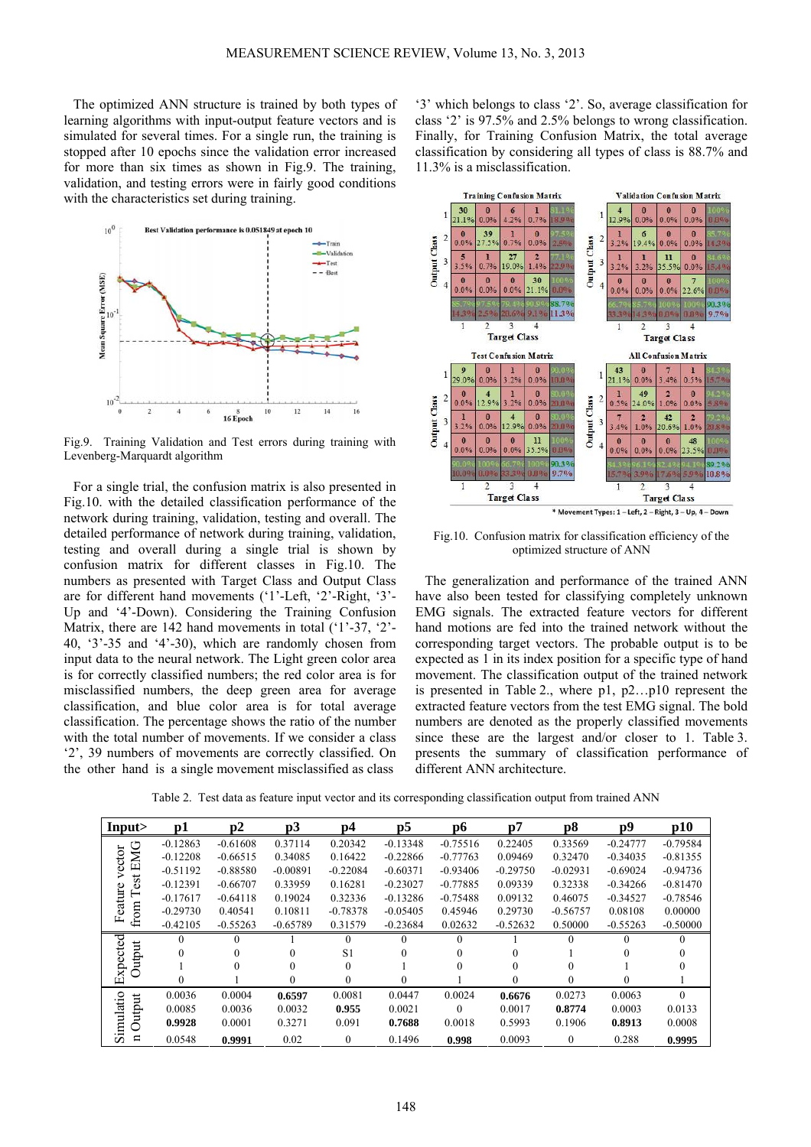The optimized ANN structure is trained by both types of learning algorithms with input-output feature vectors and is simulated for several times. For a single run, the training is stopped after 10 epochs since the validation error increased for more than six times as shown in Fig.9. The training, validation, and testing errors were in fairly good conditions with the characteristics set during training.



Fig.9. Training Validation and Test errors during training with Levenberg-Marquardt algorithm

For a single trial, the confusion matrix is also presented in Fig.10. with the detailed classification performance of the network during training, validation, testing and overall. The detailed performance of network during training, validation, testing and overall during a single trial is shown by confusion matrix for different classes in Fig.10. The numbers as presented with Target Class and Output Class are for different hand movements ('1'-Left, '2'-Right, '3'- Up and '4'-Down). Considering the Training Confusion Matrix, there are 142 hand movements in total ('1'-37, '2'-40, '3'-35 and '4'-30), which are randomly chosen from input data to the neural network. The Light green color area is for correctly classified numbers; the red color area is for misclassified numbers, the deep green area for average classification, and blue color area is for total average classification. The percentage shows the ratio of the number with the total number of movements. If we consider a class '2', 39 numbers of movements are correctly classified. On the other hand is a single movement misclassified as class

'3' which belongs to class '2'. So, average classification for class '2' is 97.5% and 2.5% belongs to wrong classification. Finally, for Training Confusion Matrix, the total average classification by considering all types of class is 88.7% and 11.3% is a misclassification.



Fig.10. Confusion matrix for classification efficiency of the optimized structure of ANN

The generalization and performance of the trained ANN have also been tested for classifying completely unknown EMG signals. The extracted feature vectors for different hand motions are fed into the trained network without the corresponding target vectors. The probable output is to be expected as 1 in its index position for a specific type of hand movement. The classification output of the trained network is presented in Table 2., where p1, p2…p10 represent the extracted feature vectors from the test EMG signal. The bold numbers are denoted as the properly classified movements since these are the largest and/or closer to 1. Table 3. presents the summary of classification performance of different ANN architecture.

Table 2. Test data as feature input vector and its corresponding classification output from trained ANN

| Input >             | $\mathbf{p1}$ | p2         | p3         | p4         | p5           | p6         | p7         | p8           | <b>p9</b>  | p10        |
|---------------------|---------------|------------|------------|------------|--------------|------------|------------|--------------|------------|------------|
|                     | $-0.12863$    | $-0.61608$ | 0.37114    | 0.20342    | $-0.13348$   | $-0.75516$ | 0.22405    | 0.33569      | $-0.24777$ | $-0.79584$ |
| est EMG<br>vector   | $-0.12208$    | $-0.66515$ | 0.34085    | 0.16422    | $-0.22866$   | $-0.77763$ | 0.09469    | 0.32470      | $-0.34035$ | $-0.81355$ |
|                     | $-0.51192$    | $-0.88580$ | $-0.00891$ | $-0.22084$ | $-0.60371$   | $-0.93406$ | $-0.29750$ | $-0.02931$   | $-0.69024$ | $-0.94736$ |
|                     | $-0.12391$    | $-0.66707$ | 0.33959    | 0.16281    | $-0.23027$   | $-0.77885$ | 0.09339    | 0.32338      | $-0.34266$ | $-0.81470$ |
| Feature<br>⊢        | $-0.17617$    | $-0.64118$ | 0.19024    | 0.32336    | $-0.13286$   | $-0.75488$ | 0.09132    | 0.46075      | $-0.34527$ | $-0.78546$ |
| from                | $-0.29730$    | 0.40541    | 0.10811    | $-0.78378$ | $-0.05405$   | 0.45946    | 0.29730    | $-0.56757$   | 0.08108    | 0.00000    |
|                     | $-0.42105$    | $-0.55263$ | $-0.65789$ | 0.31579    | $-0.23684$   | 0.02632    | $-0.52632$ | 0.50000      | $-0.55263$ | $-0.50000$ |
|                     | $\Omega$      | $\theta$   |            | $\Omega$   | $\Omega$     | $\theta$   |            | $\Omega$     | 0          |            |
| Expected<br>Output  | 0             | $\theta$   | $\Omega$   | S1         | $\Omega$     | 0          | 0          |              |            |            |
|                     |               | $\Omega$   | $\Omega$   | $\theta$   |              |            | 0          | $\Omega$     |            |            |
|                     | $\Omega$      |            | 0          | $\theta$   | $\mathbf{0}$ |            |            | $\mathbf{0}$ |            |            |
|                     | 0.0036        | 0.0004     | 0.6597     | 0.0081     | 0.0447       | 0.0024     | 0.6676     | 0.0273       | 0.0063     | $\Omega$   |
| Simulatio<br>Output | 0.0085        | 0.0036     | 0.0032     | 0.955      | 0.0021       | $\Omega$   | 0.0017     | 0.8774       | 0.0003     | 0.0133     |
|                     | 0.9928        | 0.0001     | 0.3271     | 0.091      | 0.7688       | 0.0018     | 0.5993     | 0.1906       | 0.8913     | 0.0008     |
| $\mathbf{u}$        | 0.0548        | 0.9991     | 0.02       | $\theta$   | 0.1496       | 0.998      | 0.0093     | $\theta$     | 0.288      | 0.9995     |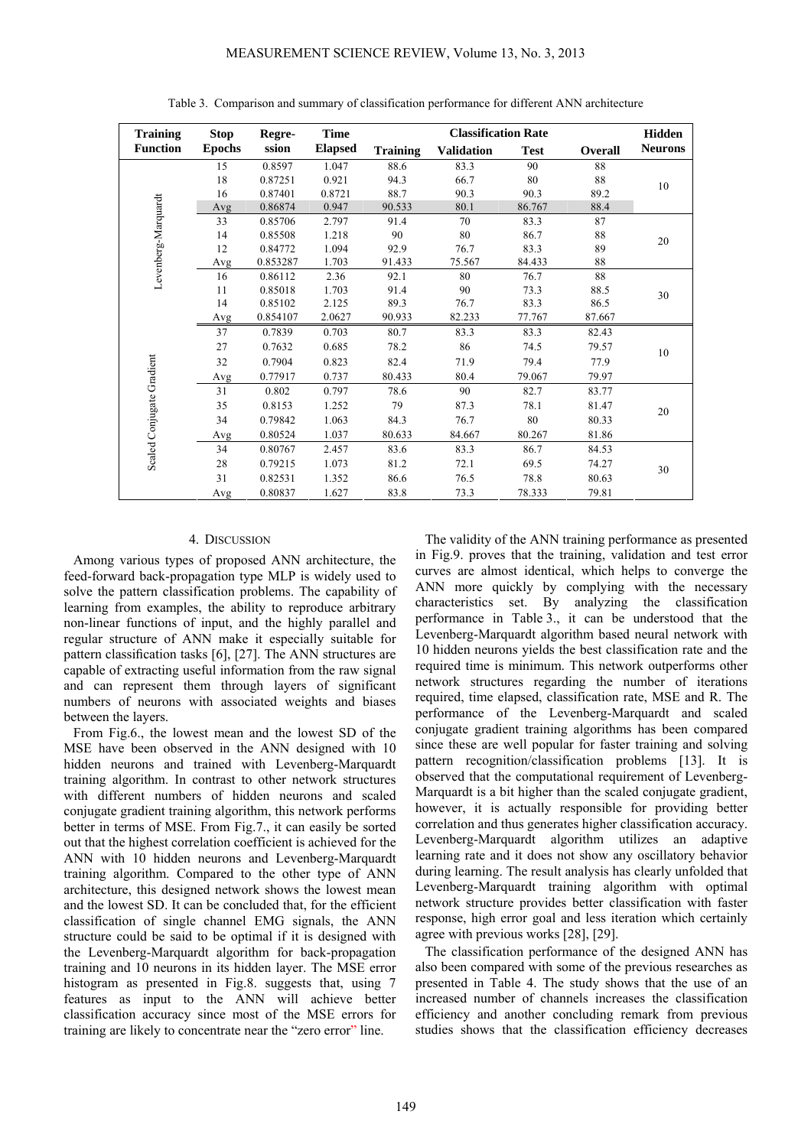| <b>Training</b>           | <b>Classification Rate</b><br><b>Time</b><br><b>Stop</b><br>Regre- |          |                |                 |                   | <b>Hidden</b> |         |                |
|---------------------------|--------------------------------------------------------------------|----------|----------------|-----------------|-------------------|---------------|---------|----------------|
| <b>Function</b>           | <b>Epochs</b>                                                      | ssion    | <b>Elapsed</b> | <b>Training</b> | <b>Validation</b> | <b>Test</b>   | Overall | <b>Neurons</b> |
|                           | 15                                                                 | 0.8597   | 1.047          | 88.6            | 83.3              | 90            | 88      |                |
|                           | 18                                                                 | 0.87251  | 0.921          | 94.3            | 66.7              | 80            | 88      | 10             |
|                           | 16                                                                 | 0.87401  | 0.8721         | 88.7            | 90.3              | 90.3          | 89.2    |                |
|                           | Avg                                                                | 0.86874  | 0.947          | 90.533          | 80.1              | 86.767        | 88.4    |                |
| Levenberg-Marquardt       | 33                                                                 | 0.85706  | 2.797          | 91.4            | 70                | 83.3          | 87      |                |
|                           | 14                                                                 | 0.85508  | 1.218          | 90              | 80                | 86.7          | 88      | 20             |
|                           | 12                                                                 | 0.84772  | 1.094          | 92.9            | 76.7              | 83.3          | 89      |                |
|                           | Avg                                                                | 0.853287 | 1.703          | 91.433          | 75.567            | 84.433        | 88      |                |
|                           | 16                                                                 | 0.86112  | 2.36           | 92.1            | 80                | 76.7          | 88      |                |
|                           | 11                                                                 | 0.85018  | 1.703          | 91.4            | 90                | 73.3          | 88.5    | 30             |
|                           | 14                                                                 | 0.85102  | 2.125          | 89.3            | 76.7              | 83.3          | 86.5    |                |
|                           | Avg                                                                | 0.854107 | 2.0627         | 90.933          | 82.233            | 77.767        | 87.667  |                |
|                           | 37                                                                 | 0.7839   | 0.703          | 80.7            | 83.3              | 83.3          | 82.43   |                |
|                           | 27                                                                 | 0.7632   | 0.685          | 78.2            | 86                | 74.5          | 79.57   | 10             |
|                           | 32                                                                 | 0.7904   | 0.823          | 82.4            | 71.9              | 79.4          | 77.9    |                |
|                           | Avg                                                                | 0.77917  | 0.737          | 80.433          | 80.4              | 79.067        | 79.97   |                |
| Scaled Conjugate Gradient | 31                                                                 | 0.802    | 0.797          | 78.6            | 90                | 82.7          | 83.77   |                |
|                           | 35                                                                 | 0.8153   | 1.252          | 79              | 87.3              | 78.1          | 81.47   | 20             |
|                           | 34                                                                 | 0.79842  | 1.063          | 84.3            | 76.7              | 80            | 80.33   |                |
|                           | Avg                                                                | 0.80524  | 1.037          | 80.633          | 84.667            | 80.267        | 81.86   |                |
|                           | 34                                                                 | 0.80767  | 2.457          | 83.6            | 83.3              | 86.7          | 84.53   |                |
|                           | 28                                                                 | 0.79215  | 1.073          | 81.2            | 72.1              | 69.5          | 74.27   | 30             |
|                           | 31                                                                 | 0.82531  | 1.352          | 86.6            | 76.5              | 78.8          | 80.63   |                |
|                           | Avg                                                                | 0.80837  | 1.627          | 83.8            | 73.3              | 78.333        | 79.81   |                |

Table 3. Comparison and summary of classification performance for different ANN architecture

#### 4. DISCUSSION

Among various types of proposed ANN architecture, the feed-forward back-propagation type MLP is widely used to solve the pattern classification problems. The capability of learning from examples, the ability to reproduce arbitrary non-linear functions of input, and the highly parallel and regular structure of ANN make it especially suitable for pattern classification tasks [6], [27]. The ANN structures are capable of extracting useful information from the raw signal and can represent them through layers of significant numbers of neurons with associated weights and biases between the layers.

From Fig.6., the lowest mean and the lowest SD of the MSE have been observed in the ANN designed with 10 hidden neurons and trained with Levenberg-Marquardt training algorithm. In contrast to other network structures with different numbers of hidden neurons and scaled conjugate gradient training algorithm, this network performs better in terms of MSE. From Fig.7., it can easily be sorted out that the highest correlation coefficient is achieved for the ANN with 10 hidden neurons and Levenberg-Marquardt training algorithm. Compared to the other type of ANN architecture, this designed network shows the lowest mean and the lowest SD. It can be concluded that, for the efficient classification of single channel EMG signals, the ANN structure could be said to be optimal if it is designed with the Levenberg-Marquardt algorithm for back-propagation training and 10 neurons in its hidden layer. The MSE error histogram as presented in Fig.8. suggests that, using 7 features as input to the ANN will achieve better classification accuracy since most of the MSE errors for training are likely to concentrate near the "zero error" line.

The validity of the ANN training performance as presented in Fig.9. proves that the training, validation and test error curves are almost identical, which helps to converge the ANN more quickly by complying with the necessary characteristics set. By analyzing the classification performance in Table 3., it can be understood that the Levenberg-Marquardt algorithm based neural network with 10 hidden neurons yields the best classification rate and the required time is minimum. This network outperforms other network structures regarding the number of iterations required, time elapsed, classification rate, MSE and R. The performance of the Levenberg-Marquardt and scaled conjugate gradient training algorithms has been compared since these are well popular for faster training and solving pattern recognition/classification problems [13]. It is observed that the computational requirement of Levenberg-Marquardt is a bit higher than the scaled conjugate gradient, however, it is actually responsible for providing better correlation and thus generates higher classification accuracy. Levenberg-Marquardt algorithm utilizes an adaptive learning rate and it does not show any oscillatory behavior during learning. The result analysis has clearly unfolded that Levenberg-Marquardt training algorithm with optimal network structure provides better classification with faster response, high error goal and less iteration which certainly agree with previous works [28], [29].

The classification performance of the designed ANN has also been compared with some of the previous researches as presented in Table 4. The study shows that the use of an increased number of channels increases the classification efficiency and another concluding remark from previous studies shows that the classification efficiency decreases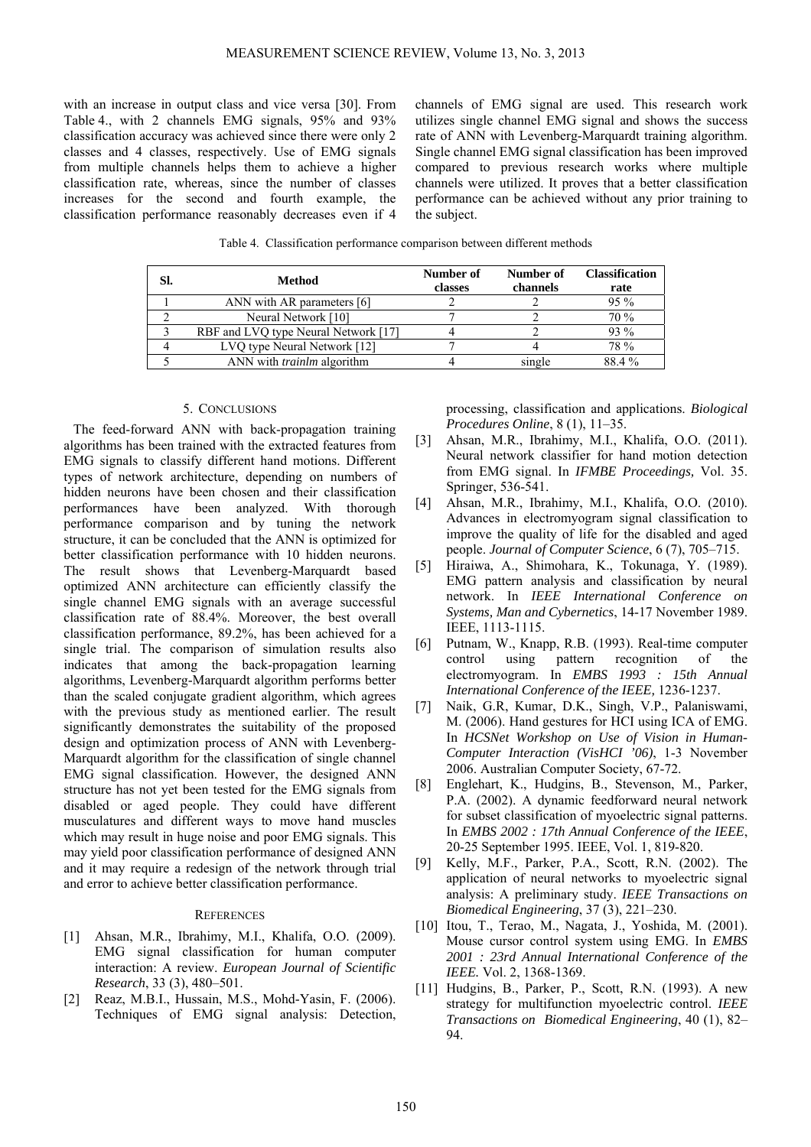with an increase in output class and vice versa [30]. From Table 4., with 2 channels EMG signals, 95% and 93% classification accuracy was achieved since there were only 2 classes and 4 classes, respectively. Use of EMG signals from multiple channels helps them to achieve a higher classification rate, whereas, since the number of classes increases for the second and fourth example, the classification performance reasonably decreases even if 4 channels of EMG signal are used. This research work utilizes single channel EMG signal and shows the success rate of ANN with Levenberg-Marquardt training algorithm. Single channel EMG signal classification has been improved compared to previous research works where multiple channels were utilized. It proves that a better classification performance can be achieved without any prior training to the subject.

|  |  |  |  |  | Table 4. Classification performance comparison between different methods |  |
|--|--|--|--|--|--------------------------------------------------------------------------|--|
|--|--|--|--|--|--------------------------------------------------------------------------|--|

| SI. | Method                               | Number of | Number of | <b>Classification</b> |
|-----|--------------------------------------|-----------|-----------|-----------------------|
|     |                                      | classes   | channels  | rate                  |
|     | ANN with AR parameters [6]           |           |           | 95 %                  |
|     | Neural Network [10]                  |           |           | 70%                   |
|     | RBF and LVQ type Neural Network [17] |           |           | 93 %                  |
|     | LVO type Neural Network [12]         |           |           | 78 %                  |
|     | ANN with <i>trainlm</i> algorithm    |           | single    | 88.4%                 |

# 5. CONCLUSIONS

The feed-forward ANN with back-propagation training algorithms has been trained with the extracted features from EMG signals to classify different hand motions. Different types of network architecture, depending on numbers of hidden neurons have been chosen and their classification performances have been analyzed. With thorough performance comparison and by tuning the network structure, it can be concluded that the ANN is optimized for better classification performance with 10 hidden neurons. The result shows that Levenberg-Marquardt based optimized ANN architecture can efficiently classify the single channel EMG signals with an average successful classification rate of 88.4%. Moreover, the best overall classification performance, 89.2%, has been achieved for a single trial. The comparison of simulation results also indicates that among the back-propagation learning algorithms, Levenberg-Marquardt algorithm performs better than the scaled conjugate gradient algorithm, which agrees with the previous study as mentioned earlier. The result significantly demonstrates the suitability of the proposed design and optimization process of ANN with Levenberg-Marquardt algorithm for the classification of single channel EMG signal classification. However, the designed ANN structure has not yet been tested for the EMG signals from disabled or aged people. They could have different musculatures and different ways to move hand muscles which may result in huge noise and poor EMG signals. This may yield poor classification performance of designed ANN and it may require a redesign of the network through trial and error to achieve better classification performance.

# **REFERENCES**

- [1] Ahsan, M.R., Ibrahimy, M.I., Khalifa, O.O. (2009). EMG signal classification for human computer interaction: A review. *European Journal of Scientific Research*, 33 (3), 480–501.
- [2] Reaz, M.B.I., Hussain, M.S., Mohd-Yasin, F. (2006). Techniques of EMG signal analysis: Detection,

processing, classification and applications. *Biological Procedures Online*, 8 (1), 11–35.

- [3] Ahsan, M.R., Ibrahimy, M.I., Khalifa, O.O. (2011). Neural network classifier for hand motion detection from EMG signal. In *IFMBE Proceedings,* Vol. 35. Springer, 536-541.
- [4] Ahsan, M.R., Ibrahimy, M.I., Khalifa, O.O. (2010). Advances in electromyogram signal classification to improve the quality of life for the disabled and aged people. *Journal of Computer Science*, 6 (7), 705–715.
- [5] Hiraiwa, A., Shimohara, K., Tokunaga, Y. (1989). EMG pattern analysis and classification by neural network. In *IEEE International Conference on Systems, Man and Cybernetics*, 14-17 November 1989. IEEE, 1113-1115.
- [6] Putnam, W., Knapp, R.B. (1993). Real-time computer control using pattern recognition of the electromyogram. In *EMBS 1993 : 15th Annual International Conference of the IEEE,* 1236-1237.
- [7] Naik, G.R, Kumar, D.K., Singh, V.P., Palaniswami, M. (2006). Hand gestures for HCI using ICA of EMG. In *HCSNet Workshop on Use of Vision in Human-Computer Interaction (VisHCI '06)*, 1-3 November 2006. Australian Computer Society, 67-72.
- [8] Englehart, K., Hudgins, B., Stevenson, M., Parker, P.A. (2002). A dynamic feedforward neural network for subset classification of myoelectric signal patterns. In *EMBS 2002 : 17th Annual Conference of the IEEE*, 20-25 September 1995. IEEE, Vol. 1, 819-820.
- [9] Kelly, M.F., Parker, P.A., Scott, R.N. (2002). The application of neural networks to myoelectric signal analysis: A preliminary study. *IEEE Transactions on Biomedical Engineering*, 37 (3), 221–230.
- [10] Itou, T., Terao, M., Nagata, J., Yoshida, M. (2001). Mouse cursor control system using EMG. In *EMBS 2001 : 23rd Annual International Conference of the IEEE.* Vol. 2, 1368-1369.
- [11] Hudgins, B., Parker, P., Scott, R.N. (1993). A new strategy for multifunction myoelectric control. *IEEE Transactions on Biomedical Engineering*, 40 (1), 82– 94.